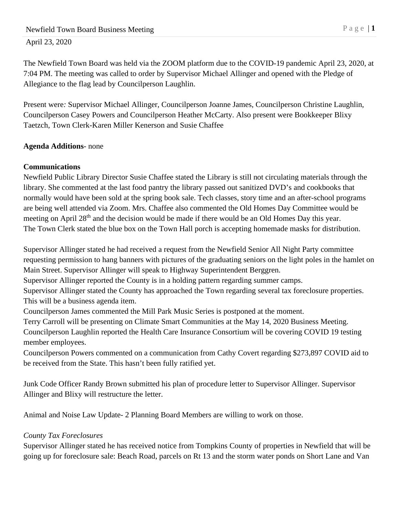## April 23, 2020

The Newfield Town Board was held via the ZOOM platform due to the COVID-19 pandemic April 23, 2020, at 7:04 PM. The meeting was called to order by Supervisor Michael Allinger and opened with the Pledge of Allegiance to the flag lead by Councilperson Laughlin.

Present were*:* Supervisor Michael Allinger, Councilperson Joanne James, Councilperson Christine Laughlin, Councilperson Casey Powers and Councilperson Heather McCarty. Also present were Bookkeeper Blixy Taetzch, Town Clerk-Karen Miller Kenerson and Susie Chaffee

## **Agenda Additions***-* none

# **Communications**

Newfield Public Library Director Susie Chaffee stated the Library is still not circulating materials through the library. She commented at the last food pantry the library passed out sanitized DVD's and cookbooks that normally would have been sold at the spring book sale. Tech classes, story time and an after-school programs are being well attended via Zoom. Mrs. Chaffee also commented the Old Homes Day Committee would be meeting on April 28<sup>th</sup> and the decision would be made if there would be an Old Homes Day this year. The Town Clerk stated the blue box on the Town Hall porch is accepting homemade masks for distribution.

Supervisor Allinger stated he had received a request from the Newfield Senior All Night Party committee requesting permission to hang banners with pictures of the graduating seniors on the light poles in the hamlet on Main Street. Supervisor Allinger will speak to Highway Superintendent Berggren.

Supervisor Allinger reported the County is in a holding pattern regarding summer camps.

Supervisor Allinger stated the County has approached the Town regarding several tax foreclosure properties. This will be a business agenda item.

Councilperson James commented the Mill Park Music Series is postponed at the moment.

Terry Carroll will be presenting on Climate Smart Communities at the May 14, 2020 Business Meeting. Councilperson Laughlin reported the Health Care Insurance Consortium will be covering COVID 19 testing member employees.

Councilperson Powers commented on a communication from Cathy Covert regarding \$273,897 COVID aid to be received from the State. This hasn't been fully ratified yet.

Junk Code Officer Randy Brown submitted his plan of procedure letter to Supervisor Allinger. Supervisor Allinger and Blixy will restructure the letter.

Animal and Noise Law Update- 2 Planning Board Members are willing to work on those.

## *County Tax Foreclosures*

Supervisor Allinger stated he has received notice from Tompkins County of properties in Newfield that will be going up for foreclosure sale: Beach Road, parcels on Rt 13 and the storm water ponds on Short Lane and Van